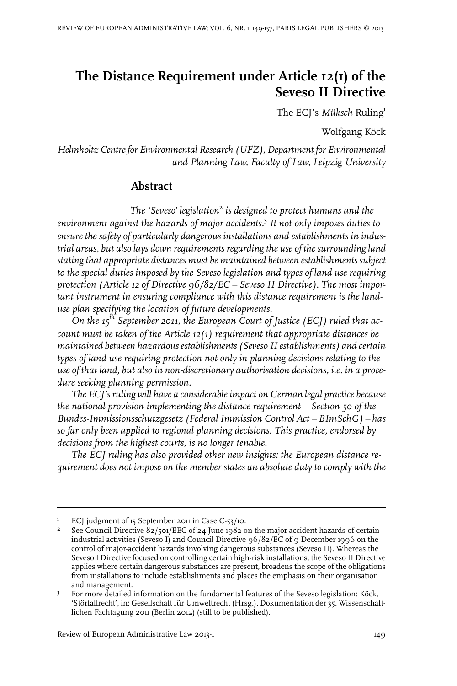# **The Distance Requirement under Article 12(1) of the Seveso II Directive**

The ECJ's *Müksch* Ruling<sup>1</sup>

Wolfgang Köck

*Helmholtz Centrefor Environmental Research (UFZ), Department for Environmental and Planning Law, Faculty of Law, Leipzig University*

### **Abstract**

*The 'Seveso' legislation*<sup>2</sup> *is designed to protect humans and the environment against the hazards of major accidents.* 3 *It not only imposes duties to ensure the safety of particularly dangerous installations and establishments in industrial areas, but also lays down requirements regarding the use of the surrounding land stating that appropriate distances must be maintained between establishments subject to the special duties imposed by the Seveso legislation and types of land use requiring protection (Article 12 of Directive 96/82/EC – Seveso II Directive). The most important instrument in ensuring compliance with this distance requirement is the landuse plan specifying the location of future developments.*

*On the 15th September 2011, the European Court of Justice (ECJ) ruled that account must be taken of the Article 12(1) requirement that appropriate distances be maintained between hazardousestablishments (Seveso IIestablishments) and certain types of land use requiring protection not only in planning decisions relating to the use of that land, but also in non-discretionary authorisation decisions, i.e. in a procedure seeking planning permission.*

*The ECJ's ruling will have a considerableimpact on German legal practice because the national provision implementing the distance requirement – Section 50 of the Bundes-Immissionsschutzgesetz (FederalImmission Control Act – BImSchG) – has so far only been applied to regional planning decisions. This practice, endorsed by decisions from the highest courts, is no longer tenable.*

*The ECJ ruling has also provided other new insights: the European distance requirement does not impose on the member states an absolute duty to comply with the*

<sup>&</sup>lt;sup>1</sup> ECJ judgment of 15 September 2011 in Case C-53/10.

See Council Directive 82/501/EEC of 24 June 1982 on the major-accident hazards of certain industrial activities (Seveso I) and Council Directive 96/82/EC of 9 December 1996 on the 2 control of major-accident hazards involving dangerous substances (Seveso II). Whereas the Seveso I Directive focused on controlling certain high-risk installations, the Seveso II Directive applies where certain dangerous substances are present, broadens the scope of the obligations from installations to include establishments and places the emphasis on their organisation and management.

For more detailed information on the fundamental features of the Seveso legislation: Köck, 'Störfallrecht', in: Gesellschaft für Umweltrecht (Hrsg.), Dokumentation der 35. Wissenschaftlichen Fachtagung 2011 (Berlin 2012) (still to be published). 3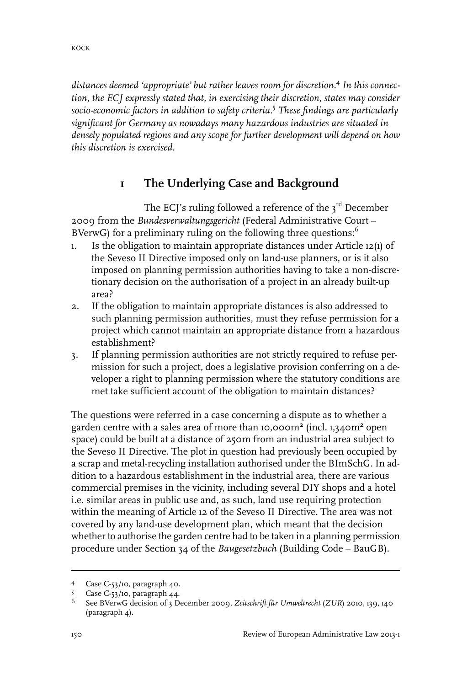*distances deemed 'appropriate' but rather leaves room for discretion.*<sup>4</sup> *In this connection, the ECJ expressly stated that, in exercising their discretion, states may consider socio-economic factors in addition to safety criteria.*<sup>5</sup> *These findings are particularly significant for Germany as nowadays many hazardous industries are situated in densely populated regions and any scope for further development will depend on how this discretion is exercised.*

## **1 The Underlying Case and Background**

The ECJ's ruling followed a reference of the 3 $^{\rm rd}$  December 2009 from the *Bundesverwaltungsgericht* (Federal Administrative Court – BVerwG) for a preliminary ruling on the following three questions: $<sup>6</sup>$ </sup>

- 1. Is the obligation to maintain appropriate distances under Article 12(1) of the Seveso II Directive imposed only on land-use planners, or is it also imposed on planning permission authorities having to take a non-discretionary decision on the authorisation of a project in an already built-up area?
- 2. If the obligation to maintain appropriate distances is also addressed to such planning permission authorities, must they refuse permission for a project which cannot maintain an appropriate distance from a hazardous establishment?
- 3. If planning permission authorities are not strictly required to refuse permission for such a project, does a legislative provision conferring on a developer a right to planning permission where the statutory conditions are met take sufficient account of the obligation to maintain distances?

The questions were referred in a case concerning a dispute as to whether a garden centre with a sales area of more than 10,000m² (incl. 1,340m² open space) could be built at a distance of 250m from an industrial area subject to the Seveso II Directive. The plot in question had previously been occupied by a scrap and metal-recycling installation authorised under the BImSchG. In addition to a hazardous establishment in the industrial area, there are various commercial premises in the vicinity, including several DIY shops and a hotel i.e. similar areas in public use and, as such, land use requiring protection within the meaning of Article 12 of the Seveso II Directive. The area was not covered by any land-use development plan, which meant that the decision whether to authorise the garden centre had to be taken in a planning permission procedure under Section 34 of the *Baugesetzbuch* (Building Code – BauGB).

<sup>4</sup> Case C-53/10, paragraph 40.

Case C-53/10, paragraph 44.

See BVerwG decision of 3 December 2009, *Zeitschrift für Umweltrecht* (*ZUR*) 2010, 139, 140 (paragraph 4). 6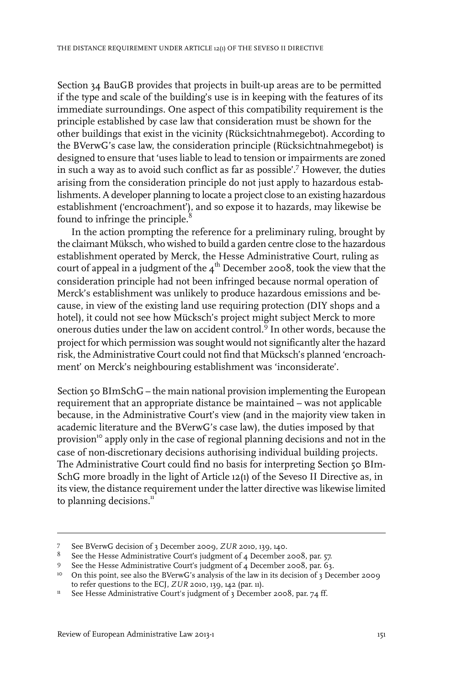Section 34 BauGB provides that projects in built-up areas are to be permitted if the type and scale of the building's use is in keeping with the features of its immediate surroundings. One aspect of this compatibility requirement is the principle established by case law that consideration must be shown for the other buildings that exist in the vicinity (Rücksichtnahmegebot). According to the BVerwG's case law, the consideration principle (Rücksichtnahmegebot) is designed to ensure that 'uses liable to lead to tension or impairments are zoned in such a way as to avoid such conflict as far as possible'.<sup>7</sup> However, the duties arising from the consideration principle do not just apply to hazardous establishments. A developer planning to locate a project close to an existing hazardous establishment ('encroachment'), and so expose it to hazards, may likewise be found to infringe the principle. $8$ 

In the action prompting the reference for a preliminary ruling, brought by the claimant Müksch, who wished to build a garden centre close to the hazardous establishment operated by Merck, the Hesse Administrative Court, ruling as court of appeal in a judgment of the  $\mathfrak{q}^{\text{th}}$  December 2008, took the view that the consideration principle had not been infringed because normal operation of Merck's establishment was unlikely to produce hazardous emissions and because, in view of the existing land use requiring protection (DIY shops and a hotel), it could not see how Mücksch's project might subject Merck to more onerous duties under the law on accident control.<sup>9</sup> In other words, because the project for which permission was sought would not significantly alterthe hazard risk, the Administrative Court could not find that Mücksch's planned 'encroachment' on Merck's neighbouring establishment was 'inconsiderate'.

Section 50 BImSchG – the main national provision implementing the European requirement that an appropriate distance be maintained – was not applicable because, in the Administrative Court's view (and in the majority view taken in academic literature and the BVerwG's case law), the duties imposed by that provision<sup>10</sup> apply only in the case of regional planning decisions and not in the case of non-discretionary decisions authorising individual building projects. The Administrative Court could find no basis for interpreting Section 50 BIm-SchG more broadly in the light of Article 12(1) of the Seveso II Directive as, in its view, the distance requirement under the latter directive was likewise limited to planning decisions.<sup>11</sup>

See BVerwG decision of 3 December 2009, *ZUR* 2010, 139, 140. <sup>7</sup>

 $^8$  See the Hesse Administrative Court's judgment of 4 December 2008, par. 57.

<sup>9</sup> See the Hesse Administrative Court's judgment of 4 December 2008, par. 63.

<sup>&</sup>lt;sup>10</sup> On this point, see also the BVerwG's analysis of the law in its decision of 3 December 2009 to refer questions to the ECJ, *ZUR* 2010, 139, 142 (par. 11).

<sup>&</sup>lt;sup>11</sup> See Hesse Administrative Court's judgment of 3 December 2008, par. 74 ff.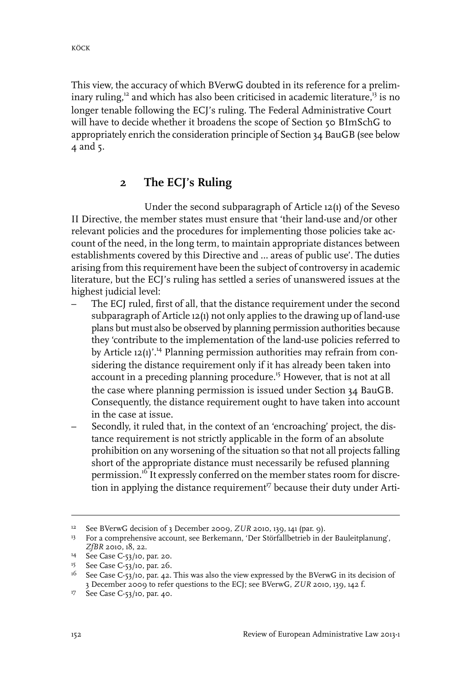This view, the accuracy of which BVerwG doubted in its reference for a preliminary ruling, $12$  and which has also been criticised in academic literature, $13$  is no longer tenable following the ECJ's ruling. The Federal Administrative Court will have to decide whether it broadens the scope of Section 50 BImSchG to appropriately enrich the consideration principle of Section 34 BauGB (see below 4 and 5.

#### **2 The ECJ's Ruling**

Under the second subparagraph of Article 12(1) of the Seveso II Directive, the member states must ensure that 'their land-use and/or other relevant policies and the procedures for implementing those policies take account of the need, in the long term, to maintain appropriate distances between establishments covered by this Directive and … areas of public use'. The duties arising from this requirement have been the subject of controversy in academic literature, but the ECJ's ruling has settled a series of unanswered issues at the highest judicial level:

- The ECJ ruled, first of all, that the distance requirement under the second subparagraph of Article 12(1) not only applies to the drawing up of land-use plans but must also be observed by planning permission authorities because they 'contribute to the implementation of the land-use policies referred to by Article  $12(1)$ <sup>''</sup>.<sup>14</sup> Planning permission authorities may refrain from considering the distance requirement only if it has already been taken into account in a preceding planning procedure.<sup>15</sup> However, that is not at all the case where planning permission is issued under Section 34 BauGB. Consequently, the distance requirement ought to have taken into account in the case at issue.
- Secondly, it ruled that, in the context of an 'encroaching' project, the distance requirement is not strictly applicable in the form of an absolute prohibition on any worsening of the situation so that not all projects falling short of the appropriate distance must necessarily be refused planning permission.<sup>16</sup> It expressly conferred on the member states room for discretion in applying the distance requirement<sup>17</sup> because their duty under Arti-

<sup>&</sup>lt;sup>12</sup> See BVerwG decision of 3 December 2009, *ZUR* 2010, 139, 141 (par. 9).

<sup>&</sup>lt;sup>13</sup> For a comprehensive account, see Berkemann, 'Der Störfallbetrieb in der Bauleitplanung', *ZfBR* 2010, 18, 22.

<sup>&</sup>lt;sup>14</sup> See Case C-53/10, par. 20.

<sup>&</sup>lt;sup>15</sup> See Case C-53/10, par. 26.

<sup>&</sup>lt;sup>16</sup> See Case C-53/10, par. 42. This was also the view expressed by the BVerwG in its decision of 3 December 2009 to refer questions to the ECJ; see BVerwG, *ZUR* 2010, 139, 142 f.

<sup>&</sup>lt;sup>17</sup> See Case C-53/10, par. 40.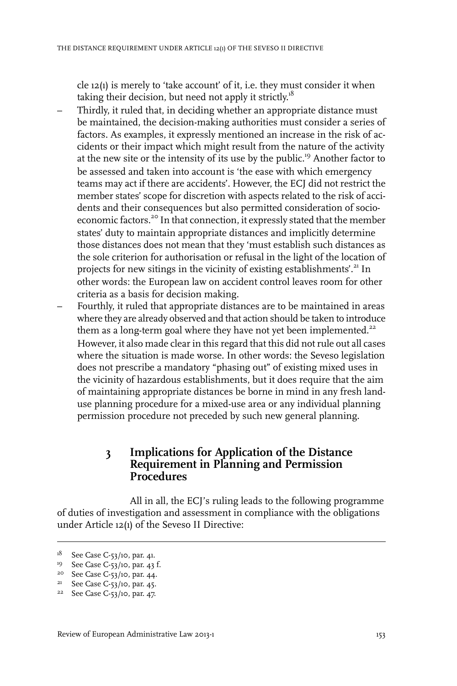cle 12(1) is merely to 'take account' of it, i.e. they must consider it when taking their decision, but need not apply it strictly.<sup>18</sup>

- Thirdly, it ruled that, in deciding whether an appropriate distance must be maintained, the decision-making authorities must consider a series of factors. As examples, it expressly mentioned an increase in the risk of accidents or their impact which might result from the nature of the activity at the new site or the intensity of its use by the public.<sup>19</sup> Another factor to be assessed and taken into account is 'the ease with which emergency teams may act if there are accidents'. However, the ECJ did not restrict the member states' scope for discretion with aspects related to the risk of accidents and their consequences but also permitted consideration of socioeconomic factors.<sup>20</sup> In that connection, it expressly stated that the member states' duty to maintain appropriate distances and implicitly determine those distances does not mean that they 'must establish such distances as the sole criterion for authorisation or refusal in the light of the location of projects for new sitings in the vicinity of existing establishments'.<sup>21</sup> In other words: the European law on accident control leaves room for other criteria as a basis for decision making.
- Fourthly, it ruled that appropriate distances are to be maintained in areas where they are already observed and that action should be taken to introduce them as a long-term goal where they have not yet been implemented. $22$ However, it also made clear in this regard that this did not rule out all cases where the situation is made worse. In other words: the Seveso legislation does not prescribe a mandatory "phasing out" of existing mixed uses in the vicinity of hazardous establishments, but it does require that the aim of maintaining appropriate distances be borne in mind in any fresh landuse planning procedure for a mixed-use area or any individual planning permission procedure not preceded by such new general planning.

#### **3 Implications for Application of the Distance Requirement in Planning and Permission Procedures**

All in all, the ECJ's ruling leads to the following programme of duties of investigation and assessment in compliance with the obligations under Article 12(1) of the Seveso II Directive:

<sup>&</sup>lt;sup>18</sup> See Case C-53/10, par. 41.

<sup>&</sup>lt;sup>19</sup> See Case C-53/10, par. 43 f.

<sup>&</sup>lt;sup>20</sup> See Case C-53/10, par. 44.

 $21$  See Case C-53/10, par. 45.

<sup>&</sup>lt;sup>22</sup> See Case C-53/10, par. 47.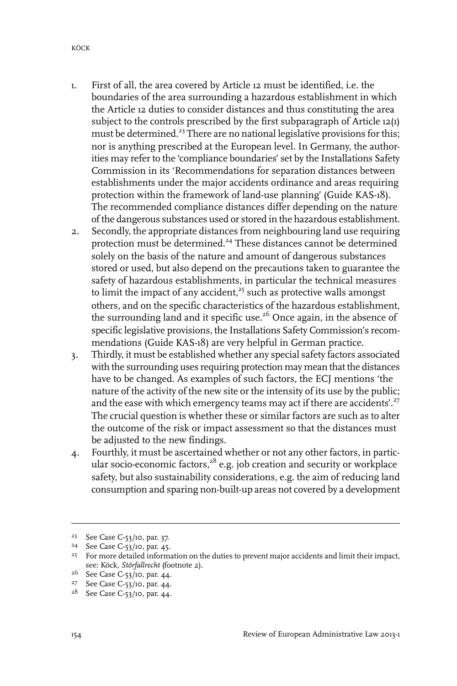- 1. First of all, the area covered by Article 12 must be identified, i.e. the boundaries of the area surrounding a hazardous establishment in which the Article 12 duties to consider distances and thus constituting the area subject to the controls prescribed by the first subparagraph of Article 12(1) must be determined.<sup>23</sup> There are no national legislative provisions for this; nor is anything prescribed at the European level. In Germany, the authorities may refer to the 'compliance boundaries' set by the Installations Safety Commission in its 'Recommendations for separation distances between establishments under the major accidents ordinance and areas requiring protection within the framework of land-use planning' (Guide KAS-18). The recommended compliance distances differ depending on the nature of the dangerous substances used or stored in the hazardous establishment.
- 2. Secondly, the appropriate distances from neighbouring land use requiring protection must be determined.<sup>24</sup> These distances cannot be determined solely on the basis of the nature and amount of dangerous substances stored or used, but also depend on the precautions taken to guarantee the safety of hazardous establishments, in particular the technical measures to limit the impact of any accident, $25$  such as protective walls amongst others, and on the specific characteristics of the hazardous establishment, the surrounding land and it specific use.<sup>26</sup> Once again, in the absence of specific legislative provisions, the Installations Safety Commission's recommendations (Guide KAS-18) are very helpful in German practice.
- 3. Thirdly, it must be established whether any special safety factors associated with the surrounding uses requiring protection may mean that the distances have to be changed. As examples of such factors, the ECJ mentions 'the nature of the activity of the new site or the intensity of its use by the public; and the ease with which emergency teams may act if there are accidents'.<sup>27</sup> The crucial question is whether these or similar factors are such as to alter the outcome of the risk or impact assessment so that the distances must be adjusted to the new findings.
- 4. Fourthly, it must be ascertained whether or not any other factors, in particular socio-economic factors,<sup>28</sup> e.g. job creation and security or workplace safety, but also sustainability considerations, e.g. the aim of reducing land consumption and sparing non-built-up areas not covered by a development

<sup>&</sup>lt;sup>23</sup> See Case C-53/10, par. 37.

<sup>&</sup>lt;sup>24</sup> See Case C-53/10, par. 45.

<sup>&</sup>lt;sup>25</sup> For more detailed information on the duties to prevent major accidents and limit their impact, see: Köck, *Störfallrecht* (footnote 2).

 $26$  See Case C-53/10, par. 44.

<sup>&</sup>lt;sup>27</sup> See Case C-53/10, par. 44.

<sup>&</sup>lt;sup>28</sup> See Case C-53/10, par. 44.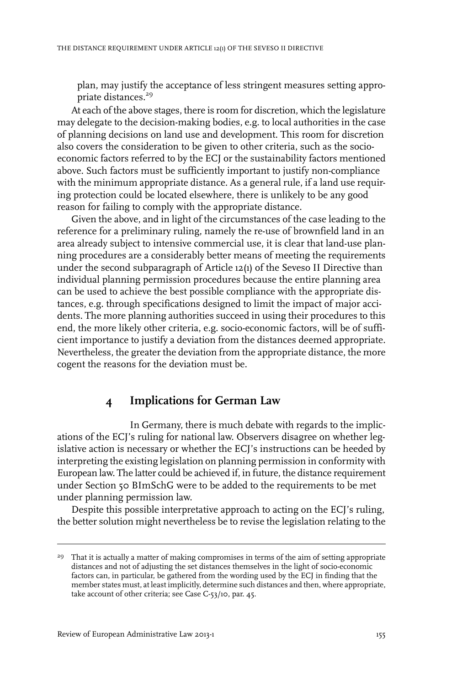plan, may justify the acceptance of less stringent measures setting appropriate distances.<sup>29</sup>

At each of the above stages, there is room for discretion, which the legislature may delegate to the decision-making bodies, e.g. to local authorities in the case of planning decisions on land use and development. This room for discretion also covers the consideration to be given to other criteria, such as the socioeconomic factors referred to by the ECJ or the sustainability factors mentioned above. Such factors must be sufficiently important to justify non-compliance with the minimum appropriate distance. As a general rule, if a land use requiring protection could be located elsewhere, there is unlikely to be any good reason for failing to comply with the appropriate distance.

Given the above, and in light of the circumstances of the case leading to the reference for a preliminary ruling, namely the re-use of brownfield land in an area already subject to intensive commercial use, it is clear that land-use planning procedures are a considerably better means of meeting the requirements under the second subparagraph of Article 12(1) of the Seveso II Directive than individual planning permission procedures because the entire planning area can be used to achieve the best possible compliance with the appropriate distances, e.g. through specifications designed to limit the impact of major accidents. The more planning authorities succeed in using their procedures to this end, the more likely other criteria, e.g. socio-economic factors, will be of sufficient importance to justify a deviation from the distances deemed appropriate. Nevertheless, the greater the deviation from the appropriate distance, the more cogent the reasons for the deviation must be.

## **4 Implications for German Law**

In Germany, there is much debate with regards to the implications of the ECJ's ruling for national law. Observers disagree on whether legislative action is necessary or whether the ECJ's instructions can be heeded by interpreting the existing legislation on planning permission in conformity with European law. The latter could be achieved if, in future, the distance requirement under Section 50 BImSchG were to be added to the requirements to be met under planning permission law.

Despite this possible interpretative approach to acting on the ECJ's ruling, the better solution might nevertheless be to revise the legislation relating to the

<sup>&</sup>lt;sup>29</sup> That it is actually a matter of making compromises in terms of the aim of setting appropriate distances and not of adjusting the set distances themselves in the light of socio-economic factors can, in particular, be gathered from the wording used by the ECJ in finding that the member states must, at least implicitly, determine such distances and then, where appropriate, take account of other criteria; see Case C-53/10, par. 45.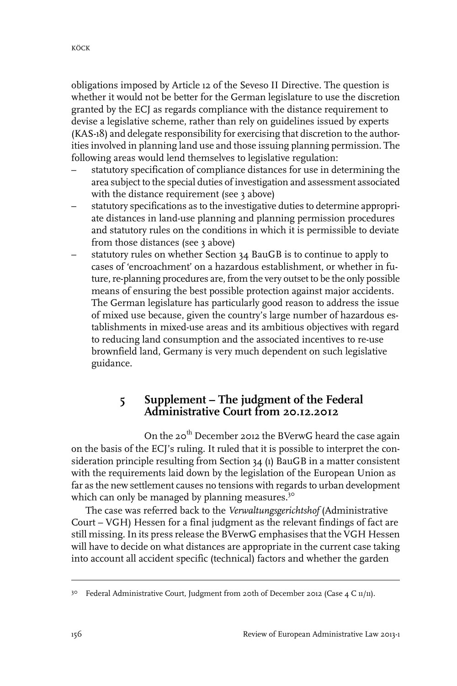obligations imposed by Article 12 of the Seveso II Directive. The question is whether it would not be better for the German legislature to use the discretion granted by the ECJ as regards compliance with the distance requirement to devise a legislative scheme, rather than rely on guidelines issued by experts (KAS-18) and delegate responsibility for exercising that discretion to the authorities involved in planning land use and those issuing planning permission. The following areas would lend themselves to legislative regulation:

- statutory specification of compliance distances for use in determining the area subject to the special duties of investigation and assessment associated with the distance requirement (see 3 above)
- statutory specifications as to the investigative duties to determine appropriate distances in land-use planning and planning permission procedures and statutory rules on the conditions in which it is permissible to deviate from those distances (see 3 above)
- statutory rules on whether Section 34 BauGB is to continue to apply to cases of 'encroachment' on a hazardous establishment, or whether in future, re-planning procedures are, from the very outset to be the only possible means of ensuring the best possible protection against major accidents. The German legislature has particularly good reason to address the issue of mixed use because, given the country's large number of hazardous establishments in mixed-use areas and its ambitious objectives with regard to reducing land consumption and the associated incentives to re-use brownfield land, Germany is very much dependent on such legislative guidance.

#### **5 Supplement – The judgment of the Federal Administrative Court from 20.12.2012**

On the 20<sup>th</sup> December 2012 the BVerwG heard the case again on the basis of the ECJ's ruling. It ruled that it is possible to interpret the consideration principle resulting from Section 34 (1) BauGB in a matter consistent with the requirements laid down by the legislation of the European Union as far as the new settlement causes no tensions with regards to urban development which can only be managed by planning measures.<sup>30</sup>

The case was referred back to the *Verwaltungsgerichtshof* (Administrative Court – VGH) Hessen for a final judgment as the relevant findings of fact are still missing. In its press release the BVerwG emphasises that the VGH Hessen will have to decide on what distances are appropriate in the current case taking into account all accident specific (technical) factors and whether the garden

<sup>&</sup>lt;sup>30</sup> Federal Administrative Court, Judgment from 20th of December 2012 (Case 4 C 11/11).